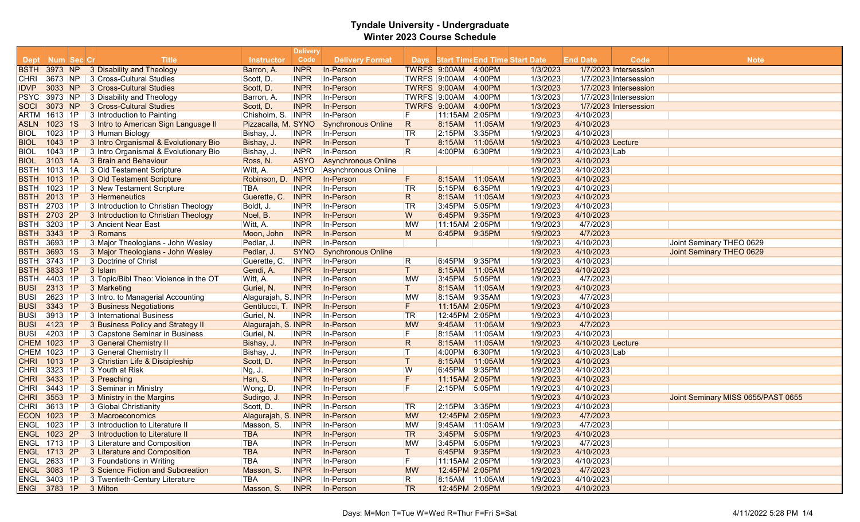|                     |         |    |                                                  |                     | <b>Delivery</b> |                            |                         |                |                |                                     |                   |                       |                                    |
|---------------------|---------|----|--------------------------------------------------|---------------------|-----------------|----------------------------|-------------------------|----------------|----------------|-------------------------------------|-------------------|-----------------------|------------------------------------|
| Dept Num Sec Cr     |         |    | Title                                            | <b>Instructor</b>   | Code            | <b>Delivery Format</b>     |                         |                |                | Days Start Time End Time Start Date | <b>End Date</b>   | Code                  | <b>Note</b>                        |
| <b>BSTH</b>         | 3973 NP |    | 3 Disability and Theology                        | Barron, A.          | <b>INPR</b>     | In-Person                  |                         | TWRFS 9:00AM   | 4:00PM         | 1/3/2023                            |                   | 1/7/2023 Intersession |                                    |
| CHRI                | 3673 NP |    | 3 Cross-Cultural Studies                         | Scott, D.           | <b>INPR</b>     | In-Person                  |                         | TWRFS 9:00AM   | 4:00PM         | 1/3/2023                            |                   | 1/7/2023 Intersession |                                    |
| <b>IDVP</b>         | 3033 NP |    | 3 Cross-Cultural Studies                         | Scott, D.           | <b>INPR</b>     | In-Person                  |                         | TWRFS 9:00AM   | 4:00PM         | 1/3/2023                            |                   | 1/7/2023 Intersession |                                    |
| <b>PSYC</b>         | 3973 NP |    | 3 Disability and Theology                        | Barron, A.          | <b>INPR</b>     | In-Person                  |                         | TWRFS 9:00AM   | 4:00PM         | 1/3/2023                            |                   | 1/7/2023 Intersession |                                    |
| <b>SOCI</b>         | 3073 NP |    | 3 Cross-Cultural Studies                         | Scott, D.           | <b>INPR</b>     | In-Person                  |                         | TWRFS 9:00AM   | 4:00PM         | 1/3/2023                            |                   | 1/7/2023 Intersession |                                    |
| ARTM   1613   1P    |         |    | 3 Introduction to Painting                       | Chisholm, S. INPR   |                 | In-Person                  | F                       | 11:15AM 2:05PM |                | 1/9/2023                            | 4/10/2023         |                       |                                    |
| <b>ASLN</b>         | 1023 1S |    | 3 Intro to American Sign Language II             | Pizzacalla, M. SYNO |                 | <b>Synchronous Online</b>  | R                       | 8:15AM         | 11:05AM        | 1/9/2023                            | 4/10/2023         |                       |                                    |
| <b>BIOL</b>         | 1023 1P |    | 3 Human Biology                                  | Bishay, J.          | <b>INPR</b>     | In-Person                  | TR                      | 2:15PM         | 3:35PM         | 1/9/2023                            | 4/10/2023         |                       |                                    |
| <b>BIOL</b>         | 1043 1P |    | 3 Intro Organismal & Evolutionary Bio            | Bishay, J.          | <b>INPR</b>     | In-Person                  | $\mathsf{T}$            | 8:15AM         | 11:05AM        | 1/9/2023                            | 4/10/2023 Lecture |                       |                                    |
| <b>BIOL</b>         | 1043    | 1P | 3 Intro Organismal & Evolutionary Bio            | Bishay, J.          | <b>INPR</b>     | In-Person                  | R                       | 4:00PM         | 6:30PM         | 1/9/2023                            | 4/10/2023 Lab     |                       |                                    |
| <b>BIOL</b>         | 3103 1A |    | 3 Brain and Behaviour                            | Ross, N.            | <b>ASYO</b>     | <b>Asynchronous Online</b> |                         |                |                | 1/9/2023                            | 4/10/2023         |                       |                                    |
| <b>BSTH</b>         | 1013 1A |    | 3 Old Testament Scripture                        | Witt, A.            | ASYO            | Asynchronous Online        |                         |                |                | 1/9/2023                            | 4/10/2023         |                       |                                    |
| <b>BSTH</b>         | 1013 1P |    | 3 Old Testament Scripture                        | Robinson, D. INPR   |                 | In-Person                  | F                       | 8:15AM         | 11:05AM        | 1/9/2023                            | 4/10/2023         |                       |                                    |
| <b>BSTH</b>         | 1023    | 1P | 3 New Testament Scripture                        | <b>TBA</b>          | <b>INPR</b>     | In-Person                  | TR                      | 5:15PM         | 6:35PM         | 1/9/2023                            | 4/10/2023         |                       |                                    |
| <b>BSTH 2013 1P</b> |         |    | 3 Hermeneutics                                   | Guerette, C.        | <b>INPR</b>     | In-Person                  | R                       | 8:15AM         | 11:05AM        | 1/9/2023                            | 4/10/2023         |                       |                                    |
| <b>BSTH</b>         | 2703 1P |    | 3 Introduction to Christian Theology             | Boldt, J.           | <b>INPR</b>     | In-Person                  | $ \textsf{T}\textsf{R}$ | 3:45PM         | 5:05PM         | 1/9/2023                            | 4/10/2023         |                       |                                    |
| BSTH_               | 2703    | 2P | 3 Introduction to Christian Theology             | Noel, B.            | <b>INPR</b>     | In-Person                  | W                       | 6:45PM         | 9:35PM         | 1/9/2023                            | 4/10/2023         |                       |                                    |
| <b>BSTH</b>         | 3203 1P |    | 3 Ancient Near East                              | Witt, A.            | <b>INPR</b>     | In-Person                  | <b>MW</b>               | 11:15AM 2:05PM |                | 1/9/2023                            | 4/7/2023          |                       |                                    |
| <b>BSTH</b>         | 3343 1P |    | 3 Romans                                         | Moon, John          | <b>INPR</b>     | In-Person                  | M                       | 6:45PM 9:35PM  |                | 1/9/2023                            | 4/7/2023          |                       |                                    |
| <b>BSTH 3693</b>    |         | 1P | 3 Major Theologians - John Wesley                | Pedlar, J.          | <b>INPR</b>     | In-Person                  |                         |                |                | 1/9/2023                            | 4/10/2023         |                       | Joint Seminary THEO 0629           |
| <b>BSTH</b>         | 3693    | 1S | 3 Major Theologians - John Wesley                | Pedlar, J.          | <b>SYNO</b>     | <b>Synchronous Online</b>  |                         |                |                | 1/9/2023                            | 4/10/2023         |                       | Joint Seminary THEO 0629           |
| <b>BSTH</b>         | 3743 1P |    | 3 Doctrine of Christ                             | Guerette, C.        | <b>INPR</b>     | In-Person                  | R                       | 6:45PM         | 9:35PM         | 1/9/2023                            | 4/10/2023         |                       |                                    |
| <b>BSTH</b>         | 3833 1P |    | 3 Islam                                          | Gendi, A.           | <b>INPR</b>     | In-Person                  | $\mathsf{T}$            | 8:15AM         | 11:05AM        | 1/9/2023                            | 4/10/2023         |                       |                                    |
| <b>BSTH 4403 1P</b> |         |    | 3 Topic/Bibl Theo: Violence in the OT            | Witt, A.            | <b>INPR</b>     | In-Person                  | MW                      | 3:45PM         | 5:05PM         | 1/9/2023                            | 4/7/2023          |                       |                                    |
| <b>BUSI</b>         | 2313 1P |    | 3 Marketing                                      | Guriel, N.          | <b>INPR</b>     | In-Person                  | T.                      | 8:15AM         | 11:05AM        | 1/9/2023                            | 4/10/2023         |                       |                                    |
| <b>BUSI</b>         | 2623    | 1P | 3 Intro. to Managerial Accounting                | Alagurajah, S. INPR |                 | In-Person                  | <b>MW</b>               | 8:15AM         | 9:35AM         | 1/9/2023                            | 4/7/2023          |                       |                                    |
| <b>BUSI</b>         | 3343 1P |    | 3 Business Negotiations                          | Gentilucci, T. INPR |                 | In-Person                  | F.                      | 11:15AM 2:05PM |                | 1/9/2023                            | 4/10/2023         |                       |                                    |
| <b>BUSI</b>         | 3913    | 1P | 3 International Business                         | Guriel, N.          | <b>INPR</b>     | In-Person                  | <b>TR</b>               | 12:45PM 2:05PM |                | 1/9/2023                            | 4/10/2023         |                       |                                    |
| <b>BUSI</b>         | 4123 1P |    | 3 Business Policy and Strategy II                | Alagurajah, S. INPR |                 | In-Person                  | <b>MW</b>               |                | 9:45AM 11:05AM | 1/9/2023                            | 4/7/2023          |                       |                                    |
| <b>BUSI</b>         | 4203 1P |    | 3 Capstone Seminar in Business                   | Guriel, N.          | <b>INPR</b>     | In-Person                  | F                       | 8:15AM         | 11:05AM        | 1/9/2023                            | 4/10/2023         |                       |                                    |
| CHEM 1023 1P        |         |    | 3 General Chemistry II                           | Bishay, J.          | <b>INPR</b>     | In-Person                  | $\mathsf{R}$            | 8:15AM         | 11:05AM        | 1/9/2023                            | 4/10/2023 Lecture |                       |                                    |
| CHEM   1023   1P    |         |    | 3 General Chemistry II                           | Bishay, J.          | <b>INPR</b>     | In-Person                  | ΙT                      | 4:00PM         | 6:30PM         | 1/9/2023                            | 4/10/2023 Lab     |                       |                                    |
| <b>ICHRI</b>        | 1013 1P |    | 3 Christian Life & Discipleship                  | Scott, D.           | <b>INPR</b>     | In-Person                  | $\mathsf{T}$            | 8:15AM         | 11:05AM        | 1/9/2023                            | 4/10/2023         |                       |                                    |
| <b>CHRI</b>         | 3323 1P |    | 3 Youth at Risk                                  | <b>Ng, J.</b>       | <b>INPR</b>     | In-Person                  | W                       | 6:45PM         | 9:35PM         | 1/9/2023                            | 4/10/2023         |                       |                                    |
| <b>CHRI</b>         | 3433    | 1P | 3 Preaching                                      | Han, S.             | <b>INPR</b>     | In-Person                  | F                       | 11:15AM 2:05PM |                | 1/9/2023                            | 4/10/2023         |                       |                                    |
| <b>CHRI</b>         | 3443 1P |    | 3 Seminar in Ministry                            | Wong, D.            | <b>INPR</b>     | In-Person                  | F                       | 2:15PM         | 5:05PM         | 1/9/2023                            | 4/10/2023         |                       |                                    |
| <b>CHRI</b>         | 3553 1P |    | 3 Ministry in the Margins                        | Sudirgo, J          | <b>INPR</b>     | In-Person                  |                         |                |                | 1/9/2023                            | 4/10/2023         |                       | Joint Seminary MISS 0655/PAST 0655 |
| CHRI                | 3613 1P |    | 3 Global Christianity                            | Scott, D.           | <b>INPR</b>     | In-Person                  | TR                      | 2:15PM         | 3:35PM         | 1/9/2023                            | 4/10/2023         |                       |                                    |
| ECON 1023 1P        |         |    | 3 Macroeconomics                                 | Alagurajah, S. INPR |                 | In-Person                  | <b>MW</b>               | 12:45PM 2:05PM |                | 1/9/2023                            | 4/7/2023          |                       |                                    |
| ENGL   1023   1P    |         |    | 3 Introduction to Literature II                  | Masson. S.          | <b>INPR</b>     | In-Person                  | <b>MW</b>               | 9:45AM         | 11:05AM        | 1/9/2023                            | 4/7/2023          |                       |                                    |
| ENGL 1023 2P        |         |    | 3 Introduction to Literature II                  | <b>TBA</b>          | <b>INPR</b>     | In-Person                  | <b>TR</b>               | 3:45PM 5:05PM  |                | 1/9/2023                            | 4/10/2023         |                       |                                    |
| ENGL 1713 1P        |         |    | 3 Literature and Composition                     | <b>TBA</b>          | <b>INPR</b>     | In-Person                  | <b>MW</b>               | 3:45PM         | 5:05PM         | 1/9/2023                            | 4/7/2023          |                       |                                    |
|                     |         |    | <b>ENGL</b> 1713 2P 3 Literature and Composition | <b>TBA</b>          | <b>INPR</b>     | In-Person                  | T.                      | 6:45PM 9:35PM  |                | 1/9/2023                            | 4/10/2023         |                       |                                    |
|                     |         |    | ENGL 2633 1P 3 Foundations in Writing            | <b>TBA</b>          | <b>INPR</b>     | In-Person                  | F                       | 11:15AM 2:05PM |                | 1/9/2023                            | 4/10/2023         |                       |                                    |
| ENGL 3083 1P        |         |    | 3 Science Fiction and Subcreation                | Masson, S.          | <b>INPR</b>     | In-Person                  | <b>MW</b>               | 12:45PM 2:05PM |                | 1/9/2023                            | 4/7/2023          |                       |                                    |
| ENGL 3403 1P        |         |    | 3 Twentieth-Century Literature                   | TBA                 | <b>INPR</b>     | In-Person                  | $\vert R \vert$         |                | 8:15AM 11:05AM | 1/9/2023                            | 4/10/2023         |                       |                                    |
|                     |         |    | ENGI 3783 1P 3 Milton                            | Masson, S.          |                 | INPR In-Person             | <b>TR</b>               | 12:45PM 2:05PM |                | 1/9/2023                            | 4/10/2023         |                       |                                    |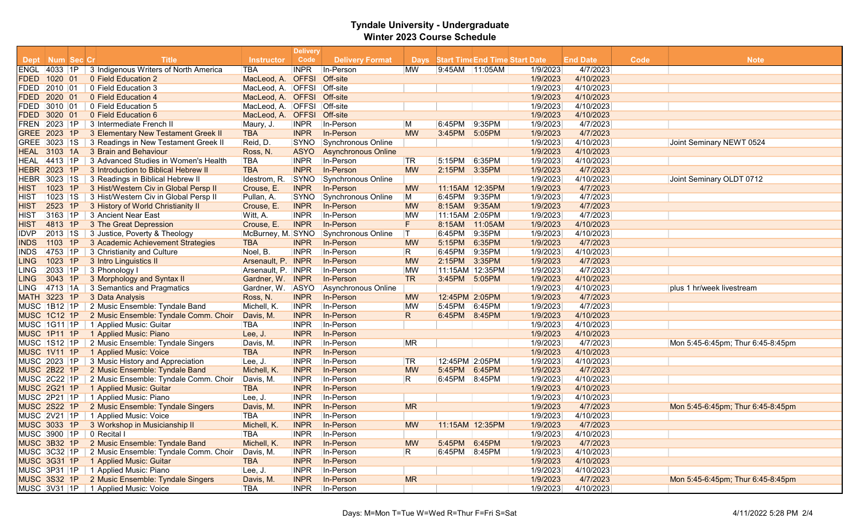| <b>Title</b><br>Code<br>Dept Num Sec Cr<br><b>Delivery Format</b><br>Days Start Time End Time Start Date<br><b>End Date</b><br>Code<br><b>Note</b><br><b>Instructor</b><br><b>TBA</b><br><b>INPR</b><br>In-Person<br>1/9/2023<br>4/7/2023<br>ENGL 4033 1P<br>3 Indigenous Writers of North America<br><b>MW</b><br>9:45AM 11:05AM<br>4/10/2023<br>1020 01<br>0 Field Education 2<br>MacLeod, A. OFFSI<br>Off-site<br>1/9/2023<br><b>OFFSI</b><br>Off-site<br>4/10/2023<br> 2010 01<br>0 Field Education 3<br>MacLeod, A.<br>1/9/2023<br>Off-site<br>1/9/2023<br>4/10/2023<br>2020 01<br>0 Field Education 4<br>MacLeod, A. OFFSI<br>MacLeod, A. OFFSI Off-site<br>1/9/2023<br>4/10/2023<br> 3010 01<br>0 Field Education 5<br>3020 01<br>0 Field Education 6<br>Off-site<br>1/9/2023<br>4/10/2023<br>MacLeod, A.<br><b>OFFSI</b><br>1/9/2023<br>4/7/2023<br>2023 1P<br>3 Intermediate French II<br>In-Person<br>9:35PM<br><b>FREN</b><br>Maury, J.<br><b>INPR</b><br>M<br>6:45PM<br>GREE 2023 1P<br><b>TBA</b><br>In-Person<br>1/9/2023<br>4/7/2023<br>3 Elementary New Testament Greek II<br><b>INPR</b><br><b>MW</b><br>3:45PM<br>5:05PM<br>1/9/2023<br>4/10/2023<br>GREE 3023 1S<br>3 Readings in New Testament Greek II<br>Reid, D.<br><b>SYNO</b><br>Synchronous Online<br>Joint Seminary NEWT 0524<br>3 Brain and Behaviour<br>4/10/2023<br><b>HEAL 3103 1A</b><br><b>ASYO</b><br><b>Asynchronous Online</b><br>1/9/2023<br>Ross, N.<br>1/9/2023<br>4/10/2023<br>$\vert$ 1P<br>3 Advanced Studies in Women's Health<br>TBA<br><b>INPR</b><br>In-Person<br>6:35PM<br>4413<br> TR<br>5:15PM<br>HEAL<br>2023 1P<br><b>TBA</b><br>In-Person<br>2:15PM<br>1/9/2023<br>4/7/2023<br><b>HEBR</b><br>3 Introduction to Biblical Hebrew II<br><b>INPR</b><br><b>MW</b><br>3:35PM<br>1/9/2023<br>4/10/2023<br>3023 1S<br>3 Readings in Biblical Hebrew II<br><b>SYNO</b><br><b>Synchronous Online</b><br>Joint Seminary OLDT 0712<br>HEBR<br>Idestrom, R.<br>3 Hist/Western Civ in Global Persp II<br><b>INPR</b><br>In-Person<br>11:15AM 12:35PM<br>1/9/2023<br>4/7/2023<br><b>HIST</b><br>1023<br>1P<br>Crouse, E.<br><b>MW</b><br>3 Hist/Western Civ in Global Persp II<br>Synchronous Online<br>4/7/2023<br>1023<br> 1S <br><b>SYNO</b><br>M<br>6:45PM 9:35PM<br>1/9/2023<br>Pullan, A.<br>IHIST<br>4/7/2023<br>2523<br>1P<br>3 History of World Christianity II<br><b>INPR</b><br>In-Person<br><b>MW</b><br>8:15AM<br>9:35AM<br>1/9/2023<br><b>HIST</b><br>Crouse, E.<br>3163<br> 1P<br>3 Ancient Near East<br><b>INPR</b><br>In-Person<br>1/9/2023<br>4/7/2023<br>Witt, A.<br><b>MW</b><br>11:15AM 2:05PM<br><b>HIST</b><br>In-Person<br>F.<br>1/9/2023<br>4/10/2023<br>4813 1P<br>3 The Great Depression<br><b>INPR</b><br>11:05AM<br><b>HIST</b><br>Crouse, E.<br>8:15AM<br>2013<br> 1S<br>3 Justice, Poverty & Theology<br><b>Synchronous Online</b><br>$\top$<br>6:45PM<br>9:35PM<br>1/9/2023<br>4/10/2023<br><b>IDVP</b><br>McBurney, M. SYNO<br>3 Academic Achievement Strategies<br>In-Person<br><b>MW</b><br>6:35PM<br>1/9/2023<br>4/7/2023<br>1103<br>1P<br><b>TBA</b><br><b>INPR</b><br>5:15PM<br><b>INDS</b><br>Noel, B.<br>In-Person<br>R<br>1/9/2023<br>4/10/2023<br>4753<br>$\vert$ 1P<br>3 Christianity and Culture<br><b>INPR</b><br>6:45PM<br>9:35PM<br><b>INDS</b><br>1P<br>In-Person<br>4/7/2023<br>1023<br>3 Intro Linguistics II<br>Arsenault, P. INPR<br><b>MW</b><br>2:15PM<br>3:35PM<br>1/9/2023<br><b>LING</b><br>2033<br>$\vert$ 1P<br>3 Phonology I<br>In-Person<br>1/9/2023<br>4/7/2023<br>LING<br>Arsenault, P. INPR<br>MW<br>11:15AM 12:35PM<br>In-Person<br><b>TR</b><br>3043 1P<br>3 Morphology and Syntax II<br>Gardner, W. INPR<br>3:45PM 5:05PM<br>1/9/2023<br>4/10/2023<br><b>LING</b><br>4713 1A<br>3 Semantics and Pragmatics<br>1/9/2023<br>4/10/2023<br>Gardner, W.<br>ASYO<br>Asynchronous Online<br>plus 1 hr/week livestream<br>LING<br>3223<br>1P<br>3 Data Analysis<br>Ross, N.<br>In-Person<br>1/9/2023<br>4/7/2023<br><b>MATH</b><br><b>INPR</b><br>12:45PM 2:05PM<br><b>MW</b><br>1/9/2023<br>4/7/2023<br>MUSC 1B12 1P<br>2 Music Ensemble: Tyndale Band<br>Michell, K.<br><b>INPR</b><br>In-Person<br>MW<br>5:45PM 6:45PM<br>In-Person<br>1/9/2023<br>4/10/2023<br><b>MUSC 1C12 1P</b><br>2 Music Ensemble: Tyndale Comm. Choir<br>Davis, M.<br><b>INPR</b><br>R.<br>6:45PM 8:45PM<br>1/9/2023<br>4/10/2023<br>MUSC 1G11 1P<br>1 Applied Music: Guitar<br><b>INPR</b><br>In-Person<br>TBA<br>In-Person<br>1/9/2023<br>4/10/2023<br>MUSC 1P11 1P<br>1 Applied Music: Piano<br>Lee, J.<br><b>INPR</b><br>MUSC 1S12 1P<br>2 Music Ensemble: Tyndale Singers<br>In-Person<br><b>MR</b><br>1/9/2023<br>4/7/2023<br><b>INPR</b><br>Davis, M.<br>Mon 5:45-6:45pm; Thur 6:45-8:45pm<br><b>MUSC 1V11 1P</b><br>1 Applied Music: Voice<br><b>TBA</b><br>In-Person<br>1/9/2023<br>4/10/2023<br><b>INPR</b><br>3 Music History and Appreciation<br>MUSC 2023 1P<br><b>INPR</b><br>In-Person<br><b>TR</b><br>12:45PM 2:05PM<br>1/9/2023<br>4/10/2023<br>Lee, J.<br>2 Music Ensemble: Tyndale Band<br>4/7/2023<br><b>MUSC 2B22 1P</b><br><b>INPR</b><br>In-Person<br>5:45PM<br>1/9/2023<br>Michell, K.<br><b>MW</b><br>6:45PM<br><b>MUSC 2C22 1P</b><br>R.<br>6:45PM<br>1/9/2023<br>4/10/2023<br>2 Music Ensemble: Tyndale Comm. Choir<br><b>INPR</b><br>In-Person<br>8:45PM<br>Davis, M.<br><b>MUSC 2G21 1P</b><br>1 Applied Music: Guitar<br>In-Person<br>1/9/2023<br>4/10/2023<br><b>TBA</b><br><b>INPR</b><br>MUSC 2P21 1P<br>1 Applied Music: Piano<br><b>INPR</b><br>In-Person<br>1/9/2023<br>4/10/2023<br>Lee, J.<br>2 Music Ensemble: Tyndale Singers<br><b>MUSC 2S22 1P</b><br><b>INPR</b><br>In-Person<br><b>MR</b><br>1/9/2023<br>4/7/2023<br>Davis, M.<br>Mon 5:45-6:45pm; Thur 6:45-8:45pm<br>MUSC 2V21 1P<br>1 Applied Music: Voice<br>TBA<br><b>INPR</b><br>In-Person<br>1/9/2023<br>4/10/2023<br><b>MUSC 3033 1P</b><br>3 Workshop in Musicianship II<br><b>INPR</b><br>In-Person<br>1/9/2023<br>4/7/2023<br>Michell, K.<br><b>MW</b><br>11:15AM 12:35PM<br>MUSC 3900 1P<br>0 Recital I<br><b>TBA</b><br>In-Person<br>1/9/2023<br>4/10/2023<br><b>INPR</b><br>In-Person<br>MUSC 3B32 1P<br>2 Music Ensemble: Tyndale Band<br>Michell, K.<br><b>INPR</b><br>5:45PM 6:45PM<br>1/9/2023<br>4/7/2023<br><b>MW</b><br>MUSC 3C32 1P<br>1/9/2023<br>4/10/2023<br>2 Music Ensemble: Tyndale Comm. Choir<br><b>INPR</b><br>In-Person<br>R<br>6:45PM 8:45PM<br>Davis, M.<br><b>MUSC 3G31 1P</b><br>4/10/2023<br>1 Applied Music: Guitar<br><b>TBA</b><br><b>INPR</b><br>In-Person<br>1/9/2023<br>MUSC 3P31 1P<br>1 Applied Music: Piano<br><b>INPR</b><br>In-Person<br>1/9/2023<br>4/10/2023<br>Lee, J.<br><b>MUSC 3S32 1P</b><br>2 Music Ensemble: Tyndale Singers<br><b>INPR</b><br>In-Person<br><b>MR</b><br>1/9/2023<br>4/7/2023<br>Davis, M.<br>Mon 5:45-6:45pm; Thur 6:45-8:45pm<br>MUSC 3V31 1P 1 Applied Music: Voice<br><b>TBA</b><br><b>INPR</b><br>In-Person<br>1/9/2023<br>4/10/2023 |             |  |  | <b>Delivery</b> |  |  |  |  |
|--------------------------------------------------------------------------------------------------------------------------------------------------------------------------------------------------------------------------------------------------------------------------------------------------------------------------------------------------------------------------------------------------------------------------------------------------------------------------------------------------------------------------------------------------------------------------------------------------------------------------------------------------------------------------------------------------------------------------------------------------------------------------------------------------------------------------------------------------------------------------------------------------------------------------------------------------------------------------------------------------------------------------------------------------------------------------------------------------------------------------------------------------------------------------------------------------------------------------------------------------------------------------------------------------------------------------------------------------------------------------------------------------------------------------------------------------------------------------------------------------------------------------------------------------------------------------------------------------------------------------------------------------------------------------------------------------------------------------------------------------------------------------------------------------------------------------------------------------------------------------------------------------------------------------------------------------------------------------------------------------------------------------------------------------------------------------------------------------------------------------------------------------------------------------------------------------------------------------------------------------------------------------------------------------------------------------------------------------------------------------------------------------------------------------------------------------------------------------------------------------------------------------------------------------------------------------------------------------------------------------------------------------------------------------------------------------------------------------------------------------------------------------------------------------------------------------------------------------------------------------------------------------------------------------------------------------------------------------------------------------------------------------------------------------------------------------------------------------------------------------------------------------------------------------------------------------------------------------------------------------------------------------------------------------------------------------------------------------------------------------------------------------------------------------------------------------------------------------------------------------------------------------------------------------------------------------------------------------------------------------------------------------------------------------------------------------------------------------------------------------------------------------------------------------------------------------------------------------------------------------------------------------------------------------------------------------------------------------------------------------------------------------------------------------------------------------------------------------------------------------------------------------------------------------------------------------------------------------------------------------------------------------------------------------------------------------------------------------------------------------------------------------------------------------------------------------------------------------------------------------------------------------------------------------------------------------------------------------------------------------------------------------------------------------------------------------------------------------------------------------------------------------------------------------------------------------------------------------------------------------------------------------------------------------------------------------------------------------------------------------------------------------------------------------------------------------------------------------------------------------------------------------------------------------------------------------------------------------------------------------------------------------------------------------------------------------------------------------------------------------------------------------------------------------------------------------------------------------------------------------------------------------------------------------------------------------------------------------------------------------------------------------------------------------------------------------------------------------------------------------------------------------------------------------------------------------------------------------------------------------------------------------------------------------------------------------------------------------------------------------------------------------------------------------------------------------------------------------------------------------------------------------------------------------------------------------------------------------------------------------------------------------------------------------------------------------------------------------------------------------------------------------------------------------------------------------------------------------------------------------------------------------------------------------------------------------------------------------------------------------------------------------------------------------------------------------------------------------------------------------------------------------------------------------------------------------------------------------------------------------------------------------------------------------------------------|-------------|--|--|-----------------|--|--|--|--|
|                                                                                                                                                                                                                                                                                                                                                                                                                                                                                                                                                                                                                                                                                                                                                                                                                                                                                                                                                                                                                                                                                                                                                                                                                                                                                                                                                                                                                                                                                                                                                                                                                                                                                                                                                                                                                                                                                                                                                                                                                                                                                                                                                                                                                                                                                                                                                                                                                                                                                                                                                                                                                                                                                                                                                                                                                                                                                                                                                                                                                                                                                                                                                                                                                                                                                                                                                                                                                                                                                                                                                                                                                                                                                                                                                                                                                                                                                                                                                                                                                                                                                                                                                                                                                                                                                                                                                                                                                                                                                                                                                                                                                                                                                                                                                                                                                                                                                                                                                                                                                                                                                                                                                                                                                                                                                                                                                                                                                                                                                                                                                                                                                                                                                                                                                                                                                                                                                                                                                                                                                                                                                                                                                                                                                                                                                                                                                                                                                                                                                                                                                                                                                                                                                                                                                                                                                                                                                                                                            |             |  |  |                 |  |  |  |  |
|                                                                                                                                                                                                                                                                                                                                                                                                                                                                                                                                                                                                                                                                                                                                                                                                                                                                                                                                                                                                                                                                                                                                                                                                                                                                                                                                                                                                                                                                                                                                                                                                                                                                                                                                                                                                                                                                                                                                                                                                                                                                                                                                                                                                                                                                                                                                                                                                                                                                                                                                                                                                                                                                                                                                                                                                                                                                                                                                                                                                                                                                                                                                                                                                                                                                                                                                                                                                                                                                                                                                                                                                                                                                                                                                                                                                                                                                                                                                                                                                                                                                                                                                                                                                                                                                                                                                                                                                                                                                                                                                                                                                                                                                                                                                                                                                                                                                                                                                                                                                                                                                                                                                                                                                                                                                                                                                                                                                                                                                                                                                                                                                                                                                                                                                                                                                                                                                                                                                                                                                                                                                                                                                                                                                                                                                                                                                                                                                                                                                                                                                                                                                                                                                                                                                                                                                                                                                                                                                            |             |  |  |                 |  |  |  |  |
|                                                                                                                                                                                                                                                                                                                                                                                                                                                                                                                                                                                                                                                                                                                                                                                                                                                                                                                                                                                                                                                                                                                                                                                                                                                                                                                                                                                                                                                                                                                                                                                                                                                                                                                                                                                                                                                                                                                                                                                                                                                                                                                                                                                                                                                                                                                                                                                                                                                                                                                                                                                                                                                                                                                                                                                                                                                                                                                                                                                                                                                                                                                                                                                                                                                                                                                                                                                                                                                                                                                                                                                                                                                                                                                                                                                                                                                                                                                                                                                                                                                                                                                                                                                                                                                                                                                                                                                                                                                                                                                                                                                                                                                                                                                                                                                                                                                                                                                                                                                                                                                                                                                                                                                                                                                                                                                                                                                                                                                                                                                                                                                                                                                                                                                                                                                                                                                                                                                                                                                                                                                                                                                                                                                                                                                                                                                                                                                                                                                                                                                                                                                                                                                                                                                                                                                                                                                                                                                                            | FDED        |  |  |                 |  |  |  |  |
|                                                                                                                                                                                                                                                                                                                                                                                                                                                                                                                                                                                                                                                                                                                                                                                                                                                                                                                                                                                                                                                                                                                                                                                                                                                                                                                                                                                                                                                                                                                                                                                                                                                                                                                                                                                                                                                                                                                                                                                                                                                                                                                                                                                                                                                                                                                                                                                                                                                                                                                                                                                                                                                                                                                                                                                                                                                                                                                                                                                                                                                                                                                                                                                                                                                                                                                                                                                                                                                                                                                                                                                                                                                                                                                                                                                                                                                                                                                                                                                                                                                                                                                                                                                                                                                                                                                                                                                                                                                                                                                                                                                                                                                                                                                                                                                                                                                                                                                                                                                                                                                                                                                                                                                                                                                                                                                                                                                                                                                                                                                                                                                                                                                                                                                                                                                                                                                                                                                                                                                                                                                                                                                                                                                                                                                                                                                                                                                                                                                                                                                                                                                                                                                                                                                                                                                                                                                                                                                                            | FDED        |  |  |                 |  |  |  |  |
|                                                                                                                                                                                                                                                                                                                                                                                                                                                                                                                                                                                                                                                                                                                                                                                                                                                                                                                                                                                                                                                                                                                                                                                                                                                                                                                                                                                                                                                                                                                                                                                                                                                                                                                                                                                                                                                                                                                                                                                                                                                                                                                                                                                                                                                                                                                                                                                                                                                                                                                                                                                                                                                                                                                                                                                                                                                                                                                                                                                                                                                                                                                                                                                                                                                                                                                                                                                                                                                                                                                                                                                                                                                                                                                                                                                                                                                                                                                                                                                                                                                                                                                                                                                                                                                                                                                                                                                                                                                                                                                                                                                                                                                                                                                                                                                                                                                                                                                                                                                                                                                                                                                                                                                                                                                                                                                                                                                                                                                                                                                                                                                                                                                                                                                                                                                                                                                                                                                                                                                                                                                                                                                                                                                                                                                                                                                                                                                                                                                                                                                                                                                                                                                                                                                                                                                                                                                                                                                                            | FDED        |  |  |                 |  |  |  |  |
|                                                                                                                                                                                                                                                                                                                                                                                                                                                                                                                                                                                                                                                                                                                                                                                                                                                                                                                                                                                                                                                                                                                                                                                                                                                                                                                                                                                                                                                                                                                                                                                                                                                                                                                                                                                                                                                                                                                                                                                                                                                                                                                                                                                                                                                                                                                                                                                                                                                                                                                                                                                                                                                                                                                                                                                                                                                                                                                                                                                                                                                                                                                                                                                                                                                                                                                                                                                                                                                                                                                                                                                                                                                                                                                                                                                                                                                                                                                                                                                                                                                                                                                                                                                                                                                                                                                                                                                                                                                                                                                                                                                                                                                                                                                                                                                                                                                                                                                                                                                                                                                                                                                                                                                                                                                                                                                                                                                                                                                                                                                                                                                                                                                                                                                                                                                                                                                                                                                                                                                                                                                                                                                                                                                                                                                                                                                                                                                                                                                                                                                                                                                                                                                                                                                                                                                                                                                                                                                                            | FDED        |  |  |                 |  |  |  |  |
|                                                                                                                                                                                                                                                                                                                                                                                                                                                                                                                                                                                                                                                                                                                                                                                                                                                                                                                                                                                                                                                                                                                                                                                                                                                                                                                                                                                                                                                                                                                                                                                                                                                                                                                                                                                                                                                                                                                                                                                                                                                                                                                                                                                                                                                                                                                                                                                                                                                                                                                                                                                                                                                                                                                                                                                                                                                                                                                                                                                                                                                                                                                                                                                                                                                                                                                                                                                                                                                                                                                                                                                                                                                                                                                                                                                                                                                                                                                                                                                                                                                                                                                                                                                                                                                                                                                                                                                                                                                                                                                                                                                                                                                                                                                                                                                                                                                                                                                                                                                                                                                                                                                                                                                                                                                                                                                                                                                                                                                                                                                                                                                                                                                                                                                                                                                                                                                                                                                                                                                                                                                                                                                                                                                                                                                                                                                                                                                                                                                                                                                                                                                                                                                                                                                                                                                                                                                                                                                                            | <b>FDED</b> |  |  |                 |  |  |  |  |
|                                                                                                                                                                                                                                                                                                                                                                                                                                                                                                                                                                                                                                                                                                                                                                                                                                                                                                                                                                                                                                                                                                                                                                                                                                                                                                                                                                                                                                                                                                                                                                                                                                                                                                                                                                                                                                                                                                                                                                                                                                                                                                                                                                                                                                                                                                                                                                                                                                                                                                                                                                                                                                                                                                                                                                                                                                                                                                                                                                                                                                                                                                                                                                                                                                                                                                                                                                                                                                                                                                                                                                                                                                                                                                                                                                                                                                                                                                                                                                                                                                                                                                                                                                                                                                                                                                                                                                                                                                                                                                                                                                                                                                                                                                                                                                                                                                                                                                                                                                                                                                                                                                                                                                                                                                                                                                                                                                                                                                                                                                                                                                                                                                                                                                                                                                                                                                                                                                                                                                                                                                                                                                                                                                                                                                                                                                                                                                                                                                                                                                                                                                                                                                                                                                                                                                                                                                                                                                                                            |             |  |  |                 |  |  |  |  |
|                                                                                                                                                                                                                                                                                                                                                                                                                                                                                                                                                                                                                                                                                                                                                                                                                                                                                                                                                                                                                                                                                                                                                                                                                                                                                                                                                                                                                                                                                                                                                                                                                                                                                                                                                                                                                                                                                                                                                                                                                                                                                                                                                                                                                                                                                                                                                                                                                                                                                                                                                                                                                                                                                                                                                                                                                                                                                                                                                                                                                                                                                                                                                                                                                                                                                                                                                                                                                                                                                                                                                                                                                                                                                                                                                                                                                                                                                                                                                                                                                                                                                                                                                                                                                                                                                                                                                                                                                                                                                                                                                                                                                                                                                                                                                                                                                                                                                                                                                                                                                                                                                                                                                                                                                                                                                                                                                                                                                                                                                                                                                                                                                                                                                                                                                                                                                                                                                                                                                                                                                                                                                                                                                                                                                                                                                                                                                                                                                                                                                                                                                                                                                                                                                                                                                                                                                                                                                                                                            |             |  |  |                 |  |  |  |  |
|                                                                                                                                                                                                                                                                                                                                                                                                                                                                                                                                                                                                                                                                                                                                                                                                                                                                                                                                                                                                                                                                                                                                                                                                                                                                                                                                                                                                                                                                                                                                                                                                                                                                                                                                                                                                                                                                                                                                                                                                                                                                                                                                                                                                                                                                                                                                                                                                                                                                                                                                                                                                                                                                                                                                                                                                                                                                                                                                                                                                                                                                                                                                                                                                                                                                                                                                                                                                                                                                                                                                                                                                                                                                                                                                                                                                                                                                                                                                                                                                                                                                                                                                                                                                                                                                                                                                                                                                                                                                                                                                                                                                                                                                                                                                                                                                                                                                                                                                                                                                                                                                                                                                                                                                                                                                                                                                                                                                                                                                                                                                                                                                                                                                                                                                                                                                                                                                                                                                                                                                                                                                                                                                                                                                                                                                                                                                                                                                                                                                                                                                                                                                                                                                                                                                                                                                                                                                                                                                            |             |  |  |                 |  |  |  |  |
|                                                                                                                                                                                                                                                                                                                                                                                                                                                                                                                                                                                                                                                                                                                                                                                                                                                                                                                                                                                                                                                                                                                                                                                                                                                                                                                                                                                                                                                                                                                                                                                                                                                                                                                                                                                                                                                                                                                                                                                                                                                                                                                                                                                                                                                                                                                                                                                                                                                                                                                                                                                                                                                                                                                                                                                                                                                                                                                                                                                                                                                                                                                                                                                                                                                                                                                                                                                                                                                                                                                                                                                                                                                                                                                                                                                                                                                                                                                                                                                                                                                                                                                                                                                                                                                                                                                                                                                                                                                                                                                                                                                                                                                                                                                                                                                                                                                                                                                                                                                                                                                                                                                                                                                                                                                                                                                                                                                                                                                                                                                                                                                                                                                                                                                                                                                                                                                                                                                                                                                                                                                                                                                                                                                                                                                                                                                                                                                                                                                                                                                                                                                                                                                                                                                                                                                                                                                                                                                                            |             |  |  |                 |  |  |  |  |
|                                                                                                                                                                                                                                                                                                                                                                                                                                                                                                                                                                                                                                                                                                                                                                                                                                                                                                                                                                                                                                                                                                                                                                                                                                                                                                                                                                                                                                                                                                                                                                                                                                                                                                                                                                                                                                                                                                                                                                                                                                                                                                                                                                                                                                                                                                                                                                                                                                                                                                                                                                                                                                                                                                                                                                                                                                                                                                                                                                                                                                                                                                                                                                                                                                                                                                                                                                                                                                                                                                                                                                                                                                                                                                                                                                                                                                                                                                                                                                                                                                                                                                                                                                                                                                                                                                                                                                                                                                                                                                                                                                                                                                                                                                                                                                                                                                                                                                                                                                                                                                                                                                                                                                                                                                                                                                                                                                                                                                                                                                                                                                                                                                                                                                                                                                                                                                                                                                                                                                                                                                                                                                                                                                                                                                                                                                                                                                                                                                                                                                                                                                                                                                                                                                                                                                                                                                                                                                                                            |             |  |  |                 |  |  |  |  |
|                                                                                                                                                                                                                                                                                                                                                                                                                                                                                                                                                                                                                                                                                                                                                                                                                                                                                                                                                                                                                                                                                                                                                                                                                                                                                                                                                                                                                                                                                                                                                                                                                                                                                                                                                                                                                                                                                                                                                                                                                                                                                                                                                                                                                                                                                                                                                                                                                                                                                                                                                                                                                                                                                                                                                                                                                                                                                                                                                                                                                                                                                                                                                                                                                                                                                                                                                                                                                                                                                                                                                                                                                                                                                                                                                                                                                                                                                                                                                                                                                                                                                                                                                                                                                                                                                                                                                                                                                                                                                                                                                                                                                                                                                                                                                                                                                                                                                                                                                                                                                                                                                                                                                                                                                                                                                                                                                                                                                                                                                                                                                                                                                                                                                                                                                                                                                                                                                                                                                                                                                                                                                                                                                                                                                                                                                                                                                                                                                                                                                                                                                                                                                                                                                                                                                                                                                                                                                                                                            |             |  |  |                 |  |  |  |  |
|                                                                                                                                                                                                                                                                                                                                                                                                                                                                                                                                                                                                                                                                                                                                                                                                                                                                                                                                                                                                                                                                                                                                                                                                                                                                                                                                                                                                                                                                                                                                                                                                                                                                                                                                                                                                                                                                                                                                                                                                                                                                                                                                                                                                                                                                                                                                                                                                                                                                                                                                                                                                                                                                                                                                                                                                                                                                                                                                                                                                                                                                                                                                                                                                                                                                                                                                                                                                                                                                                                                                                                                                                                                                                                                                                                                                                                                                                                                                                                                                                                                                                                                                                                                                                                                                                                                                                                                                                                                                                                                                                                                                                                                                                                                                                                                                                                                                                                                                                                                                                                                                                                                                                                                                                                                                                                                                                                                                                                                                                                                                                                                                                                                                                                                                                                                                                                                                                                                                                                                                                                                                                                                                                                                                                                                                                                                                                                                                                                                                                                                                                                                                                                                                                                                                                                                                                                                                                                                                            |             |  |  |                 |  |  |  |  |
|                                                                                                                                                                                                                                                                                                                                                                                                                                                                                                                                                                                                                                                                                                                                                                                                                                                                                                                                                                                                                                                                                                                                                                                                                                                                                                                                                                                                                                                                                                                                                                                                                                                                                                                                                                                                                                                                                                                                                                                                                                                                                                                                                                                                                                                                                                                                                                                                                                                                                                                                                                                                                                                                                                                                                                                                                                                                                                                                                                                                                                                                                                                                                                                                                                                                                                                                                                                                                                                                                                                                                                                                                                                                                                                                                                                                                                                                                                                                                                                                                                                                                                                                                                                                                                                                                                                                                                                                                                                                                                                                                                                                                                                                                                                                                                                                                                                                                                                                                                                                                                                                                                                                                                                                                                                                                                                                                                                                                                                                                                                                                                                                                                                                                                                                                                                                                                                                                                                                                                                                                                                                                                                                                                                                                                                                                                                                                                                                                                                                                                                                                                                                                                                                                                                                                                                                                                                                                                                                            |             |  |  |                 |  |  |  |  |
|                                                                                                                                                                                                                                                                                                                                                                                                                                                                                                                                                                                                                                                                                                                                                                                                                                                                                                                                                                                                                                                                                                                                                                                                                                                                                                                                                                                                                                                                                                                                                                                                                                                                                                                                                                                                                                                                                                                                                                                                                                                                                                                                                                                                                                                                                                                                                                                                                                                                                                                                                                                                                                                                                                                                                                                                                                                                                                                                                                                                                                                                                                                                                                                                                                                                                                                                                                                                                                                                                                                                                                                                                                                                                                                                                                                                                                                                                                                                                                                                                                                                                                                                                                                                                                                                                                                                                                                                                                                                                                                                                                                                                                                                                                                                                                                                                                                                                                                                                                                                                                                                                                                                                                                                                                                                                                                                                                                                                                                                                                                                                                                                                                                                                                                                                                                                                                                                                                                                                                                                                                                                                                                                                                                                                                                                                                                                                                                                                                                                                                                                                                                                                                                                                                                                                                                                                                                                                                                                            |             |  |  |                 |  |  |  |  |
|                                                                                                                                                                                                                                                                                                                                                                                                                                                                                                                                                                                                                                                                                                                                                                                                                                                                                                                                                                                                                                                                                                                                                                                                                                                                                                                                                                                                                                                                                                                                                                                                                                                                                                                                                                                                                                                                                                                                                                                                                                                                                                                                                                                                                                                                                                                                                                                                                                                                                                                                                                                                                                                                                                                                                                                                                                                                                                                                                                                                                                                                                                                                                                                                                                                                                                                                                                                                                                                                                                                                                                                                                                                                                                                                                                                                                                                                                                                                                                                                                                                                                                                                                                                                                                                                                                                                                                                                                                                                                                                                                                                                                                                                                                                                                                                                                                                                                                                                                                                                                                                                                                                                                                                                                                                                                                                                                                                                                                                                                                                                                                                                                                                                                                                                                                                                                                                                                                                                                                                                                                                                                                                                                                                                                                                                                                                                                                                                                                                                                                                                                                                                                                                                                                                                                                                                                                                                                                                                            |             |  |  |                 |  |  |  |  |
|                                                                                                                                                                                                                                                                                                                                                                                                                                                                                                                                                                                                                                                                                                                                                                                                                                                                                                                                                                                                                                                                                                                                                                                                                                                                                                                                                                                                                                                                                                                                                                                                                                                                                                                                                                                                                                                                                                                                                                                                                                                                                                                                                                                                                                                                                                                                                                                                                                                                                                                                                                                                                                                                                                                                                                                                                                                                                                                                                                                                                                                                                                                                                                                                                                                                                                                                                                                                                                                                                                                                                                                                                                                                                                                                                                                                                                                                                                                                                                                                                                                                                                                                                                                                                                                                                                                                                                                                                                                                                                                                                                                                                                                                                                                                                                                                                                                                                                                                                                                                                                                                                                                                                                                                                                                                                                                                                                                                                                                                                                                                                                                                                                                                                                                                                                                                                                                                                                                                                                                                                                                                                                                                                                                                                                                                                                                                                                                                                                                                                                                                                                                                                                                                                                                                                                                                                                                                                                                                            |             |  |  |                 |  |  |  |  |
|                                                                                                                                                                                                                                                                                                                                                                                                                                                                                                                                                                                                                                                                                                                                                                                                                                                                                                                                                                                                                                                                                                                                                                                                                                                                                                                                                                                                                                                                                                                                                                                                                                                                                                                                                                                                                                                                                                                                                                                                                                                                                                                                                                                                                                                                                                                                                                                                                                                                                                                                                                                                                                                                                                                                                                                                                                                                                                                                                                                                                                                                                                                                                                                                                                                                                                                                                                                                                                                                                                                                                                                                                                                                                                                                                                                                                                                                                                                                                                                                                                                                                                                                                                                                                                                                                                                                                                                                                                                                                                                                                                                                                                                                                                                                                                                                                                                                                                                                                                                                                                                                                                                                                                                                                                                                                                                                                                                                                                                                                                                                                                                                                                                                                                                                                                                                                                                                                                                                                                                                                                                                                                                                                                                                                                                                                                                                                                                                                                                                                                                                                                                                                                                                                                                                                                                                                                                                                                                                            |             |  |  |                 |  |  |  |  |
|                                                                                                                                                                                                                                                                                                                                                                                                                                                                                                                                                                                                                                                                                                                                                                                                                                                                                                                                                                                                                                                                                                                                                                                                                                                                                                                                                                                                                                                                                                                                                                                                                                                                                                                                                                                                                                                                                                                                                                                                                                                                                                                                                                                                                                                                                                                                                                                                                                                                                                                                                                                                                                                                                                                                                                                                                                                                                                                                                                                                                                                                                                                                                                                                                                                                                                                                                                                                                                                                                                                                                                                                                                                                                                                                                                                                                                                                                                                                                                                                                                                                                                                                                                                                                                                                                                                                                                                                                                                                                                                                                                                                                                                                                                                                                                                                                                                                                                                                                                                                                                                                                                                                                                                                                                                                                                                                                                                                                                                                                                                                                                                                                                                                                                                                                                                                                                                                                                                                                                                                                                                                                                                                                                                                                                                                                                                                                                                                                                                                                                                                                                                                                                                                                                                                                                                                                                                                                                                                            |             |  |  |                 |  |  |  |  |
|                                                                                                                                                                                                                                                                                                                                                                                                                                                                                                                                                                                                                                                                                                                                                                                                                                                                                                                                                                                                                                                                                                                                                                                                                                                                                                                                                                                                                                                                                                                                                                                                                                                                                                                                                                                                                                                                                                                                                                                                                                                                                                                                                                                                                                                                                                                                                                                                                                                                                                                                                                                                                                                                                                                                                                                                                                                                                                                                                                                                                                                                                                                                                                                                                                                                                                                                                                                                                                                                                                                                                                                                                                                                                                                                                                                                                                                                                                                                                                                                                                                                                                                                                                                                                                                                                                                                                                                                                                                                                                                                                                                                                                                                                                                                                                                                                                                                                                                                                                                                                                                                                                                                                                                                                                                                                                                                                                                                                                                                                                                                                                                                                                                                                                                                                                                                                                                                                                                                                                                                                                                                                                                                                                                                                                                                                                                                                                                                                                                                                                                                                                                                                                                                                                                                                                                                                                                                                                                                            |             |  |  |                 |  |  |  |  |
|                                                                                                                                                                                                                                                                                                                                                                                                                                                                                                                                                                                                                                                                                                                                                                                                                                                                                                                                                                                                                                                                                                                                                                                                                                                                                                                                                                                                                                                                                                                                                                                                                                                                                                                                                                                                                                                                                                                                                                                                                                                                                                                                                                                                                                                                                                                                                                                                                                                                                                                                                                                                                                                                                                                                                                                                                                                                                                                                                                                                                                                                                                                                                                                                                                                                                                                                                                                                                                                                                                                                                                                                                                                                                                                                                                                                                                                                                                                                                                                                                                                                                                                                                                                                                                                                                                                                                                                                                                                                                                                                                                                                                                                                                                                                                                                                                                                                                                                                                                                                                                                                                                                                                                                                                                                                                                                                                                                                                                                                                                                                                                                                                                                                                                                                                                                                                                                                                                                                                                                                                                                                                                                                                                                                                                                                                                                                                                                                                                                                                                                                                                                                                                                                                                                                                                                                                                                                                                                                            |             |  |  |                 |  |  |  |  |
|                                                                                                                                                                                                                                                                                                                                                                                                                                                                                                                                                                                                                                                                                                                                                                                                                                                                                                                                                                                                                                                                                                                                                                                                                                                                                                                                                                                                                                                                                                                                                                                                                                                                                                                                                                                                                                                                                                                                                                                                                                                                                                                                                                                                                                                                                                                                                                                                                                                                                                                                                                                                                                                                                                                                                                                                                                                                                                                                                                                                                                                                                                                                                                                                                                                                                                                                                                                                                                                                                                                                                                                                                                                                                                                                                                                                                                                                                                                                                                                                                                                                                                                                                                                                                                                                                                                                                                                                                                                                                                                                                                                                                                                                                                                                                                                                                                                                                                                                                                                                                                                                                                                                                                                                                                                                                                                                                                                                                                                                                                                                                                                                                                                                                                                                                                                                                                                                                                                                                                                                                                                                                                                                                                                                                                                                                                                                                                                                                                                                                                                                                                                                                                                                                                                                                                                                                                                                                                                                            |             |  |  |                 |  |  |  |  |
|                                                                                                                                                                                                                                                                                                                                                                                                                                                                                                                                                                                                                                                                                                                                                                                                                                                                                                                                                                                                                                                                                                                                                                                                                                                                                                                                                                                                                                                                                                                                                                                                                                                                                                                                                                                                                                                                                                                                                                                                                                                                                                                                                                                                                                                                                                                                                                                                                                                                                                                                                                                                                                                                                                                                                                                                                                                                                                                                                                                                                                                                                                                                                                                                                                                                                                                                                                                                                                                                                                                                                                                                                                                                                                                                                                                                                                                                                                                                                                                                                                                                                                                                                                                                                                                                                                                                                                                                                                                                                                                                                                                                                                                                                                                                                                                                                                                                                                                                                                                                                                                                                                                                                                                                                                                                                                                                                                                                                                                                                                                                                                                                                                                                                                                                                                                                                                                                                                                                                                                                                                                                                                                                                                                                                                                                                                                                                                                                                                                                                                                                                                                                                                                                                                                                                                                                                                                                                                                                            |             |  |  |                 |  |  |  |  |
|                                                                                                                                                                                                                                                                                                                                                                                                                                                                                                                                                                                                                                                                                                                                                                                                                                                                                                                                                                                                                                                                                                                                                                                                                                                                                                                                                                                                                                                                                                                                                                                                                                                                                                                                                                                                                                                                                                                                                                                                                                                                                                                                                                                                                                                                                                                                                                                                                                                                                                                                                                                                                                                                                                                                                                                                                                                                                                                                                                                                                                                                                                                                                                                                                                                                                                                                                                                                                                                                                                                                                                                                                                                                                                                                                                                                                                                                                                                                                                                                                                                                                                                                                                                                                                                                                                                                                                                                                                                                                                                                                                                                                                                                                                                                                                                                                                                                                                                                                                                                                                                                                                                                                                                                                                                                                                                                                                                                                                                                                                                                                                                                                                                                                                                                                                                                                                                                                                                                                                                                                                                                                                                                                                                                                                                                                                                                                                                                                                                                                                                                                                                                                                                                                                                                                                                                                                                                                                                                            |             |  |  |                 |  |  |  |  |
|                                                                                                                                                                                                                                                                                                                                                                                                                                                                                                                                                                                                                                                                                                                                                                                                                                                                                                                                                                                                                                                                                                                                                                                                                                                                                                                                                                                                                                                                                                                                                                                                                                                                                                                                                                                                                                                                                                                                                                                                                                                                                                                                                                                                                                                                                                                                                                                                                                                                                                                                                                                                                                                                                                                                                                                                                                                                                                                                                                                                                                                                                                                                                                                                                                                                                                                                                                                                                                                                                                                                                                                                                                                                                                                                                                                                                                                                                                                                                                                                                                                                                                                                                                                                                                                                                                                                                                                                                                                                                                                                                                                                                                                                                                                                                                                                                                                                                                                                                                                                                                                                                                                                                                                                                                                                                                                                                                                                                                                                                                                                                                                                                                                                                                                                                                                                                                                                                                                                                                                                                                                                                                                                                                                                                                                                                                                                                                                                                                                                                                                                                                                                                                                                                                                                                                                                                                                                                                                                            |             |  |  |                 |  |  |  |  |
|                                                                                                                                                                                                                                                                                                                                                                                                                                                                                                                                                                                                                                                                                                                                                                                                                                                                                                                                                                                                                                                                                                                                                                                                                                                                                                                                                                                                                                                                                                                                                                                                                                                                                                                                                                                                                                                                                                                                                                                                                                                                                                                                                                                                                                                                                                                                                                                                                                                                                                                                                                                                                                                                                                                                                                                                                                                                                                                                                                                                                                                                                                                                                                                                                                                                                                                                                                                                                                                                                                                                                                                                                                                                                                                                                                                                                                                                                                                                                                                                                                                                                                                                                                                                                                                                                                                                                                                                                                                                                                                                                                                                                                                                                                                                                                                                                                                                                                                                                                                                                                                                                                                                                                                                                                                                                                                                                                                                                                                                                                                                                                                                                                                                                                                                                                                                                                                                                                                                                                                                                                                                                                                                                                                                                                                                                                                                                                                                                                                                                                                                                                                                                                                                                                                                                                                                                                                                                                                                            |             |  |  |                 |  |  |  |  |
|                                                                                                                                                                                                                                                                                                                                                                                                                                                                                                                                                                                                                                                                                                                                                                                                                                                                                                                                                                                                                                                                                                                                                                                                                                                                                                                                                                                                                                                                                                                                                                                                                                                                                                                                                                                                                                                                                                                                                                                                                                                                                                                                                                                                                                                                                                                                                                                                                                                                                                                                                                                                                                                                                                                                                                                                                                                                                                                                                                                                                                                                                                                                                                                                                                                                                                                                                                                                                                                                                                                                                                                                                                                                                                                                                                                                                                                                                                                                                                                                                                                                                                                                                                                                                                                                                                                                                                                                                                                                                                                                                                                                                                                                                                                                                                                                                                                                                                                                                                                                                                                                                                                                                                                                                                                                                                                                                                                                                                                                                                                                                                                                                                                                                                                                                                                                                                                                                                                                                                                                                                                                                                                                                                                                                                                                                                                                                                                                                                                                                                                                                                                                                                                                                                                                                                                                                                                                                                                                            |             |  |  |                 |  |  |  |  |
|                                                                                                                                                                                                                                                                                                                                                                                                                                                                                                                                                                                                                                                                                                                                                                                                                                                                                                                                                                                                                                                                                                                                                                                                                                                                                                                                                                                                                                                                                                                                                                                                                                                                                                                                                                                                                                                                                                                                                                                                                                                                                                                                                                                                                                                                                                                                                                                                                                                                                                                                                                                                                                                                                                                                                                                                                                                                                                                                                                                                                                                                                                                                                                                                                                                                                                                                                                                                                                                                                                                                                                                                                                                                                                                                                                                                                                                                                                                                                                                                                                                                                                                                                                                                                                                                                                                                                                                                                                                                                                                                                                                                                                                                                                                                                                                                                                                                                                                                                                                                                                                                                                                                                                                                                                                                                                                                                                                                                                                                                                                                                                                                                                                                                                                                                                                                                                                                                                                                                                                                                                                                                                                                                                                                                                                                                                                                                                                                                                                                                                                                                                                                                                                                                                                                                                                                                                                                                                                                            |             |  |  |                 |  |  |  |  |
|                                                                                                                                                                                                                                                                                                                                                                                                                                                                                                                                                                                                                                                                                                                                                                                                                                                                                                                                                                                                                                                                                                                                                                                                                                                                                                                                                                                                                                                                                                                                                                                                                                                                                                                                                                                                                                                                                                                                                                                                                                                                                                                                                                                                                                                                                                                                                                                                                                                                                                                                                                                                                                                                                                                                                                                                                                                                                                                                                                                                                                                                                                                                                                                                                                                                                                                                                                                                                                                                                                                                                                                                                                                                                                                                                                                                                                                                                                                                                                                                                                                                                                                                                                                                                                                                                                                                                                                                                                                                                                                                                                                                                                                                                                                                                                                                                                                                                                                                                                                                                                                                                                                                                                                                                                                                                                                                                                                                                                                                                                                                                                                                                                                                                                                                                                                                                                                                                                                                                                                                                                                                                                                                                                                                                                                                                                                                                                                                                                                                                                                                                                                                                                                                                                                                                                                                                                                                                                                                            |             |  |  |                 |  |  |  |  |
|                                                                                                                                                                                                                                                                                                                                                                                                                                                                                                                                                                                                                                                                                                                                                                                                                                                                                                                                                                                                                                                                                                                                                                                                                                                                                                                                                                                                                                                                                                                                                                                                                                                                                                                                                                                                                                                                                                                                                                                                                                                                                                                                                                                                                                                                                                                                                                                                                                                                                                                                                                                                                                                                                                                                                                                                                                                                                                                                                                                                                                                                                                                                                                                                                                                                                                                                                                                                                                                                                                                                                                                                                                                                                                                                                                                                                                                                                                                                                                                                                                                                                                                                                                                                                                                                                                                                                                                                                                                                                                                                                                                                                                                                                                                                                                                                                                                                                                                                                                                                                                                                                                                                                                                                                                                                                                                                                                                                                                                                                                                                                                                                                                                                                                                                                                                                                                                                                                                                                                                                                                                                                                                                                                                                                                                                                                                                                                                                                                                                                                                                                                                                                                                                                                                                                                                                                                                                                                                                            |             |  |  |                 |  |  |  |  |
|                                                                                                                                                                                                                                                                                                                                                                                                                                                                                                                                                                                                                                                                                                                                                                                                                                                                                                                                                                                                                                                                                                                                                                                                                                                                                                                                                                                                                                                                                                                                                                                                                                                                                                                                                                                                                                                                                                                                                                                                                                                                                                                                                                                                                                                                                                                                                                                                                                                                                                                                                                                                                                                                                                                                                                                                                                                                                                                                                                                                                                                                                                                                                                                                                                                                                                                                                                                                                                                                                                                                                                                                                                                                                                                                                                                                                                                                                                                                                                                                                                                                                                                                                                                                                                                                                                                                                                                                                                                                                                                                                                                                                                                                                                                                                                                                                                                                                                                                                                                                                                                                                                                                                                                                                                                                                                                                                                                                                                                                                                                                                                                                                                                                                                                                                                                                                                                                                                                                                                                                                                                                                                                                                                                                                                                                                                                                                                                                                                                                                                                                                                                                                                                                                                                                                                                                                                                                                                                                            |             |  |  |                 |  |  |  |  |
|                                                                                                                                                                                                                                                                                                                                                                                                                                                                                                                                                                                                                                                                                                                                                                                                                                                                                                                                                                                                                                                                                                                                                                                                                                                                                                                                                                                                                                                                                                                                                                                                                                                                                                                                                                                                                                                                                                                                                                                                                                                                                                                                                                                                                                                                                                                                                                                                                                                                                                                                                                                                                                                                                                                                                                                                                                                                                                                                                                                                                                                                                                                                                                                                                                                                                                                                                                                                                                                                                                                                                                                                                                                                                                                                                                                                                                                                                                                                                                                                                                                                                                                                                                                                                                                                                                                                                                                                                                                                                                                                                                                                                                                                                                                                                                                                                                                                                                                                                                                                                                                                                                                                                                                                                                                                                                                                                                                                                                                                                                                                                                                                                                                                                                                                                                                                                                                                                                                                                                                                                                                                                                                                                                                                                                                                                                                                                                                                                                                                                                                                                                                                                                                                                                                                                                                                                                                                                                                                            |             |  |  |                 |  |  |  |  |
|                                                                                                                                                                                                                                                                                                                                                                                                                                                                                                                                                                                                                                                                                                                                                                                                                                                                                                                                                                                                                                                                                                                                                                                                                                                                                                                                                                                                                                                                                                                                                                                                                                                                                                                                                                                                                                                                                                                                                                                                                                                                                                                                                                                                                                                                                                                                                                                                                                                                                                                                                                                                                                                                                                                                                                                                                                                                                                                                                                                                                                                                                                                                                                                                                                                                                                                                                                                                                                                                                                                                                                                                                                                                                                                                                                                                                                                                                                                                                                                                                                                                                                                                                                                                                                                                                                                                                                                                                                                                                                                                                                                                                                                                                                                                                                                                                                                                                                                                                                                                                                                                                                                                                                                                                                                                                                                                                                                                                                                                                                                                                                                                                                                                                                                                                                                                                                                                                                                                                                                                                                                                                                                                                                                                                                                                                                                                                                                                                                                                                                                                                                                                                                                                                                                                                                                                                                                                                                                                            |             |  |  |                 |  |  |  |  |
|                                                                                                                                                                                                                                                                                                                                                                                                                                                                                                                                                                                                                                                                                                                                                                                                                                                                                                                                                                                                                                                                                                                                                                                                                                                                                                                                                                                                                                                                                                                                                                                                                                                                                                                                                                                                                                                                                                                                                                                                                                                                                                                                                                                                                                                                                                                                                                                                                                                                                                                                                                                                                                                                                                                                                                                                                                                                                                                                                                                                                                                                                                                                                                                                                                                                                                                                                                                                                                                                                                                                                                                                                                                                                                                                                                                                                                                                                                                                                                                                                                                                                                                                                                                                                                                                                                                                                                                                                                                                                                                                                                                                                                                                                                                                                                                                                                                                                                                                                                                                                                                                                                                                                                                                                                                                                                                                                                                                                                                                                                                                                                                                                                                                                                                                                                                                                                                                                                                                                                                                                                                                                                                                                                                                                                                                                                                                                                                                                                                                                                                                                                                                                                                                                                                                                                                                                                                                                                                                            |             |  |  |                 |  |  |  |  |
|                                                                                                                                                                                                                                                                                                                                                                                                                                                                                                                                                                                                                                                                                                                                                                                                                                                                                                                                                                                                                                                                                                                                                                                                                                                                                                                                                                                                                                                                                                                                                                                                                                                                                                                                                                                                                                                                                                                                                                                                                                                                                                                                                                                                                                                                                                                                                                                                                                                                                                                                                                                                                                                                                                                                                                                                                                                                                                                                                                                                                                                                                                                                                                                                                                                                                                                                                                                                                                                                                                                                                                                                                                                                                                                                                                                                                                                                                                                                                                                                                                                                                                                                                                                                                                                                                                                                                                                                                                                                                                                                                                                                                                                                                                                                                                                                                                                                                                                                                                                                                                                                                                                                                                                                                                                                                                                                                                                                                                                                                                                                                                                                                                                                                                                                                                                                                                                                                                                                                                                                                                                                                                                                                                                                                                                                                                                                                                                                                                                                                                                                                                                                                                                                                                                                                                                                                                                                                                                                            |             |  |  |                 |  |  |  |  |
|                                                                                                                                                                                                                                                                                                                                                                                                                                                                                                                                                                                                                                                                                                                                                                                                                                                                                                                                                                                                                                                                                                                                                                                                                                                                                                                                                                                                                                                                                                                                                                                                                                                                                                                                                                                                                                                                                                                                                                                                                                                                                                                                                                                                                                                                                                                                                                                                                                                                                                                                                                                                                                                                                                                                                                                                                                                                                                                                                                                                                                                                                                                                                                                                                                                                                                                                                                                                                                                                                                                                                                                                                                                                                                                                                                                                                                                                                                                                                                                                                                                                                                                                                                                                                                                                                                                                                                                                                                                                                                                                                                                                                                                                                                                                                                                                                                                                                                                                                                                                                                                                                                                                                                                                                                                                                                                                                                                                                                                                                                                                                                                                                                                                                                                                                                                                                                                                                                                                                                                                                                                                                                                                                                                                                                                                                                                                                                                                                                                                                                                                                                                                                                                                                                                                                                                                                                                                                                                                            |             |  |  |                 |  |  |  |  |
|                                                                                                                                                                                                                                                                                                                                                                                                                                                                                                                                                                                                                                                                                                                                                                                                                                                                                                                                                                                                                                                                                                                                                                                                                                                                                                                                                                                                                                                                                                                                                                                                                                                                                                                                                                                                                                                                                                                                                                                                                                                                                                                                                                                                                                                                                                                                                                                                                                                                                                                                                                                                                                                                                                                                                                                                                                                                                                                                                                                                                                                                                                                                                                                                                                                                                                                                                                                                                                                                                                                                                                                                                                                                                                                                                                                                                                                                                                                                                                                                                                                                                                                                                                                                                                                                                                                                                                                                                                                                                                                                                                                                                                                                                                                                                                                                                                                                                                                                                                                                                                                                                                                                                                                                                                                                                                                                                                                                                                                                                                                                                                                                                                                                                                                                                                                                                                                                                                                                                                                                                                                                                                                                                                                                                                                                                                                                                                                                                                                                                                                                                                                                                                                                                                                                                                                                                                                                                                                                            |             |  |  |                 |  |  |  |  |
|                                                                                                                                                                                                                                                                                                                                                                                                                                                                                                                                                                                                                                                                                                                                                                                                                                                                                                                                                                                                                                                                                                                                                                                                                                                                                                                                                                                                                                                                                                                                                                                                                                                                                                                                                                                                                                                                                                                                                                                                                                                                                                                                                                                                                                                                                                                                                                                                                                                                                                                                                                                                                                                                                                                                                                                                                                                                                                                                                                                                                                                                                                                                                                                                                                                                                                                                                                                                                                                                                                                                                                                                                                                                                                                                                                                                                                                                                                                                                                                                                                                                                                                                                                                                                                                                                                                                                                                                                                                                                                                                                                                                                                                                                                                                                                                                                                                                                                                                                                                                                                                                                                                                                                                                                                                                                                                                                                                                                                                                                                                                                                                                                                                                                                                                                                                                                                                                                                                                                                                                                                                                                                                                                                                                                                                                                                                                                                                                                                                                                                                                                                                                                                                                                                                                                                                                                                                                                                                                            |             |  |  |                 |  |  |  |  |
|                                                                                                                                                                                                                                                                                                                                                                                                                                                                                                                                                                                                                                                                                                                                                                                                                                                                                                                                                                                                                                                                                                                                                                                                                                                                                                                                                                                                                                                                                                                                                                                                                                                                                                                                                                                                                                                                                                                                                                                                                                                                                                                                                                                                                                                                                                                                                                                                                                                                                                                                                                                                                                                                                                                                                                                                                                                                                                                                                                                                                                                                                                                                                                                                                                                                                                                                                                                                                                                                                                                                                                                                                                                                                                                                                                                                                                                                                                                                                                                                                                                                                                                                                                                                                                                                                                                                                                                                                                                                                                                                                                                                                                                                                                                                                                                                                                                                                                                                                                                                                                                                                                                                                                                                                                                                                                                                                                                                                                                                                                                                                                                                                                                                                                                                                                                                                                                                                                                                                                                                                                                                                                                                                                                                                                                                                                                                                                                                                                                                                                                                                                                                                                                                                                                                                                                                                                                                                                                                            |             |  |  |                 |  |  |  |  |
|                                                                                                                                                                                                                                                                                                                                                                                                                                                                                                                                                                                                                                                                                                                                                                                                                                                                                                                                                                                                                                                                                                                                                                                                                                                                                                                                                                                                                                                                                                                                                                                                                                                                                                                                                                                                                                                                                                                                                                                                                                                                                                                                                                                                                                                                                                                                                                                                                                                                                                                                                                                                                                                                                                                                                                                                                                                                                                                                                                                                                                                                                                                                                                                                                                                                                                                                                                                                                                                                                                                                                                                                                                                                                                                                                                                                                                                                                                                                                                                                                                                                                                                                                                                                                                                                                                                                                                                                                                                                                                                                                                                                                                                                                                                                                                                                                                                                                                                                                                                                                                                                                                                                                                                                                                                                                                                                                                                                                                                                                                                                                                                                                                                                                                                                                                                                                                                                                                                                                                                                                                                                                                                                                                                                                                                                                                                                                                                                                                                                                                                                                                                                                                                                                                                                                                                                                                                                                                                                            |             |  |  |                 |  |  |  |  |
|                                                                                                                                                                                                                                                                                                                                                                                                                                                                                                                                                                                                                                                                                                                                                                                                                                                                                                                                                                                                                                                                                                                                                                                                                                                                                                                                                                                                                                                                                                                                                                                                                                                                                                                                                                                                                                                                                                                                                                                                                                                                                                                                                                                                                                                                                                                                                                                                                                                                                                                                                                                                                                                                                                                                                                                                                                                                                                                                                                                                                                                                                                                                                                                                                                                                                                                                                                                                                                                                                                                                                                                                                                                                                                                                                                                                                                                                                                                                                                                                                                                                                                                                                                                                                                                                                                                                                                                                                                                                                                                                                                                                                                                                                                                                                                                                                                                                                                                                                                                                                                                                                                                                                                                                                                                                                                                                                                                                                                                                                                                                                                                                                                                                                                                                                                                                                                                                                                                                                                                                                                                                                                                                                                                                                                                                                                                                                                                                                                                                                                                                                                                                                                                                                                                                                                                                                                                                                                                                            |             |  |  |                 |  |  |  |  |
|                                                                                                                                                                                                                                                                                                                                                                                                                                                                                                                                                                                                                                                                                                                                                                                                                                                                                                                                                                                                                                                                                                                                                                                                                                                                                                                                                                                                                                                                                                                                                                                                                                                                                                                                                                                                                                                                                                                                                                                                                                                                                                                                                                                                                                                                                                                                                                                                                                                                                                                                                                                                                                                                                                                                                                                                                                                                                                                                                                                                                                                                                                                                                                                                                                                                                                                                                                                                                                                                                                                                                                                                                                                                                                                                                                                                                                                                                                                                                                                                                                                                                                                                                                                                                                                                                                                                                                                                                                                                                                                                                                                                                                                                                                                                                                                                                                                                                                                                                                                                                                                                                                                                                                                                                                                                                                                                                                                                                                                                                                                                                                                                                                                                                                                                                                                                                                                                                                                                                                                                                                                                                                                                                                                                                                                                                                                                                                                                                                                                                                                                                                                                                                                                                                                                                                                                                                                                                                                                            |             |  |  |                 |  |  |  |  |
|                                                                                                                                                                                                                                                                                                                                                                                                                                                                                                                                                                                                                                                                                                                                                                                                                                                                                                                                                                                                                                                                                                                                                                                                                                                                                                                                                                                                                                                                                                                                                                                                                                                                                                                                                                                                                                                                                                                                                                                                                                                                                                                                                                                                                                                                                                                                                                                                                                                                                                                                                                                                                                                                                                                                                                                                                                                                                                                                                                                                                                                                                                                                                                                                                                                                                                                                                                                                                                                                                                                                                                                                                                                                                                                                                                                                                                                                                                                                                                                                                                                                                                                                                                                                                                                                                                                                                                                                                                                                                                                                                                                                                                                                                                                                                                                                                                                                                                                                                                                                                                                                                                                                                                                                                                                                                                                                                                                                                                                                                                                                                                                                                                                                                                                                                                                                                                                                                                                                                                                                                                                                                                                                                                                                                                                                                                                                                                                                                                                                                                                                                                                                                                                                                                                                                                                                                                                                                                                                            |             |  |  |                 |  |  |  |  |
|                                                                                                                                                                                                                                                                                                                                                                                                                                                                                                                                                                                                                                                                                                                                                                                                                                                                                                                                                                                                                                                                                                                                                                                                                                                                                                                                                                                                                                                                                                                                                                                                                                                                                                                                                                                                                                                                                                                                                                                                                                                                                                                                                                                                                                                                                                                                                                                                                                                                                                                                                                                                                                                                                                                                                                                                                                                                                                                                                                                                                                                                                                                                                                                                                                                                                                                                                                                                                                                                                                                                                                                                                                                                                                                                                                                                                                                                                                                                                                                                                                                                                                                                                                                                                                                                                                                                                                                                                                                                                                                                                                                                                                                                                                                                                                                                                                                                                                                                                                                                                                                                                                                                                                                                                                                                                                                                                                                                                                                                                                                                                                                                                                                                                                                                                                                                                                                                                                                                                                                                                                                                                                                                                                                                                                                                                                                                                                                                                                                                                                                                                                                                                                                                                                                                                                                                                                                                                                                                            |             |  |  |                 |  |  |  |  |
|                                                                                                                                                                                                                                                                                                                                                                                                                                                                                                                                                                                                                                                                                                                                                                                                                                                                                                                                                                                                                                                                                                                                                                                                                                                                                                                                                                                                                                                                                                                                                                                                                                                                                                                                                                                                                                                                                                                                                                                                                                                                                                                                                                                                                                                                                                                                                                                                                                                                                                                                                                                                                                                                                                                                                                                                                                                                                                                                                                                                                                                                                                                                                                                                                                                                                                                                                                                                                                                                                                                                                                                                                                                                                                                                                                                                                                                                                                                                                                                                                                                                                                                                                                                                                                                                                                                                                                                                                                                                                                                                                                                                                                                                                                                                                                                                                                                                                                                                                                                                                                                                                                                                                                                                                                                                                                                                                                                                                                                                                                                                                                                                                                                                                                                                                                                                                                                                                                                                                                                                                                                                                                                                                                                                                                                                                                                                                                                                                                                                                                                                                                                                                                                                                                                                                                                                                                                                                                                                            |             |  |  |                 |  |  |  |  |
|                                                                                                                                                                                                                                                                                                                                                                                                                                                                                                                                                                                                                                                                                                                                                                                                                                                                                                                                                                                                                                                                                                                                                                                                                                                                                                                                                                                                                                                                                                                                                                                                                                                                                                                                                                                                                                                                                                                                                                                                                                                                                                                                                                                                                                                                                                                                                                                                                                                                                                                                                                                                                                                                                                                                                                                                                                                                                                                                                                                                                                                                                                                                                                                                                                                                                                                                                                                                                                                                                                                                                                                                                                                                                                                                                                                                                                                                                                                                                                                                                                                                                                                                                                                                                                                                                                                                                                                                                                                                                                                                                                                                                                                                                                                                                                                                                                                                                                                                                                                                                                                                                                                                                                                                                                                                                                                                                                                                                                                                                                                                                                                                                                                                                                                                                                                                                                                                                                                                                                                                                                                                                                                                                                                                                                                                                                                                                                                                                                                                                                                                                                                                                                                                                                                                                                                                                                                                                                                                            |             |  |  |                 |  |  |  |  |
|                                                                                                                                                                                                                                                                                                                                                                                                                                                                                                                                                                                                                                                                                                                                                                                                                                                                                                                                                                                                                                                                                                                                                                                                                                                                                                                                                                                                                                                                                                                                                                                                                                                                                                                                                                                                                                                                                                                                                                                                                                                                                                                                                                                                                                                                                                                                                                                                                                                                                                                                                                                                                                                                                                                                                                                                                                                                                                                                                                                                                                                                                                                                                                                                                                                                                                                                                                                                                                                                                                                                                                                                                                                                                                                                                                                                                                                                                                                                                                                                                                                                                                                                                                                                                                                                                                                                                                                                                                                                                                                                                                                                                                                                                                                                                                                                                                                                                                                                                                                                                                                                                                                                                                                                                                                                                                                                                                                                                                                                                                                                                                                                                                                                                                                                                                                                                                                                                                                                                                                                                                                                                                                                                                                                                                                                                                                                                                                                                                                                                                                                                                                                                                                                                                                                                                                                                                                                                                                                            |             |  |  |                 |  |  |  |  |
|                                                                                                                                                                                                                                                                                                                                                                                                                                                                                                                                                                                                                                                                                                                                                                                                                                                                                                                                                                                                                                                                                                                                                                                                                                                                                                                                                                                                                                                                                                                                                                                                                                                                                                                                                                                                                                                                                                                                                                                                                                                                                                                                                                                                                                                                                                                                                                                                                                                                                                                                                                                                                                                                                                                                                                                                                                                                                                                                                                                                                                                                                                                                                                                                                                                                                                                                                                                                                                                                                                                                                                                                                                                                                                                                                                                                                                                                                                                                                                                                                                                                                                                                                                                                                                                                                                                                                                                                                                                                                                                                                                                                                                                                                                                                                                                                                                                                                                                                                                                                                                                                                                                                                                                                                                                                                                                                                                                                                                                                                                                                                                                                                                                                                                                                                                                                                                                                                                                                                                                                                                                                                                                                                                                                                                                                                                                                                                                                                                                                                                                                                                                                                                                                                                                                                                                                                                                                                                                                            |             |  |  |                 |  |  |  |  |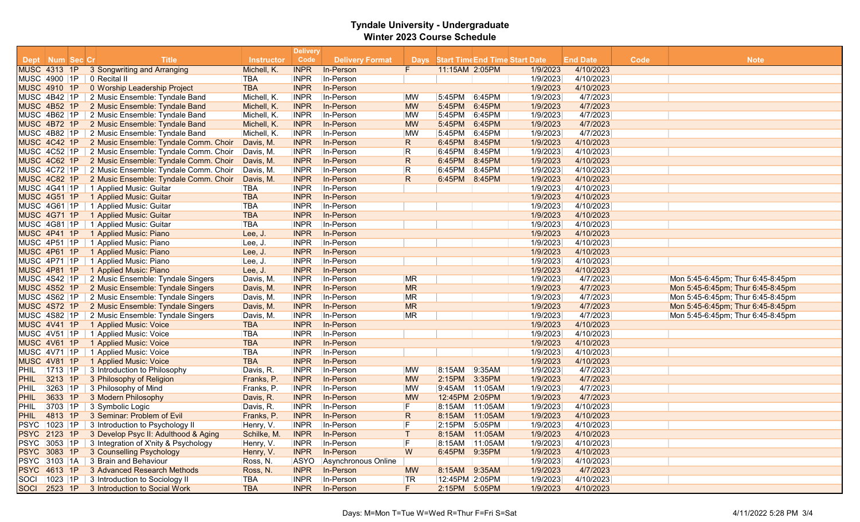|                     |                     |    |                                                   | <b>Delivery</b>   |             |                        |                |                                            |        |          |                 |      |                                   |
|---------------------|---------------------|----|---------------------------------------------------|-------------------|-------------|------------------------|----------------|--------------------------------------------|--------|----------|-----------------|------|-----------------------------------|
|                     | Dept Num Sec Cr     |    | <b>Title</b>                                      | <b>Instructor</b> | Code        | <b>Delivery Format</b> |                | <b>Days</b> Start Time End Time Start Date |        |          | <b>End Date</b> | Code | <b>Note</b>                       |
|                     | <b>MUSC 4313 1P</b> |    | 3 Songwriting and Arranging                       | Michell, K.       | <b>INPR</b> | In-Person              | F              | 11:15AM 2:05PM                             |        | 1/9/2023 | 4/10/2023       |      |                                   |
|                     | MUSC 4900 1P        |    | 0 Recital II                                      | <b>TBA</b>        | <b>INPR</b> | In-Person              |                |                                            |        | 1/9/2023 | 4/10/2023       |      |                                   |
|                     | <b>MUSC 4910 1P</b> |    | 0 Worship Leadership Project                      | <b>TBA</b>        | <b>INPR</b> | In-Person              |                |                                            |        | 1/9/2023 | 4/10/2023       |      |                                   |
| MUSC 4B42 1P        |                     |    | 2 Music Ensemble: Tyndale Band                    | Michell, K.       | <b>INPR</b> | In-Person              | <b>MW</b>      | 5:45PM                                     | 6:45PM | 1/9/2023 | 4/7/2023        |      |                                   |
|                     | MUSC 4B52 1P        |    | 2 Music Ensemble: Tyndale Band                    | Michell, K.       | <b>INPR</b> | In-Person              | <b>MW</b>      | 5:45PM                                     | 6:45PM | 1/9/2023 | 4/7/2023        |      |                                   |
|                     | MUSC 4B62 1P        |    | 2 Music Ensemble: Tyndale Band                    | Michell, K.       | <b>INPR</b> | In-Person              | <b>MW</b>      | 5:45PM                                     | 6:45PM | 1/9/2023 | 4/7/2023        |      |                                   |
|                     | MUSC 4B72 1P        |    | 2 Music Ensemble: Tyndale Band                    | Michell, K.       | <b>INPR</b> | In-Person              | <b>MW</b>      | 5:45PM                                     | 6:45PM | 1/9/2023 | 4/7/2023        |      |                                   |
|                     | MUSC 4B82 1P        |    | 2 Music Ensemble: Tyndale Band                    | Michell, K.       | <b>INPR</b> | In-Person              | <b>MW</b>      | 5:45PM                                     | 6:45PM | 1/9/2023 | 4/7/2023        |      |                                   |
| MUSC 4C42 1P        |                     |    | 2 Music Ensemble: Tyndale Comm. Choir             | Davis, M.         | <b>INPR</b> | In-Person              | $\overline{R}$ | 6:45PM                                     | 8:45PM | 1/9/2023 | 4/10/2023       |      |                                   |
|                     | MUSC 4C52 1P        |    | 2 Music Ensemble: Tyndale Comm. Choir             | Davis, M.         | <b>INPR</b> | In-Person              | R              | 6:45PM                                     | 8:45PM | 1/9/2023 | 4/10/2023       |      |                                   |
|                     | MUSC 4C62 1P        |    | 2 Music Ensemble: Tyndale Comm. Choir             | Davis, M.         | <b>INPR</b> | In-Person              | R              | 6:45PM                                     | 8:45PM | 1/9/2023 | 4/10/2023       |      |                                   |
|                     | <b>MUSC 4C72 1P</b> |    | 2 Music Ensemble: Tyndale Comm. Choir             | Davis, M.         | <b>INPR</b> | In-Person              | R              | 6:45PM                                     | 8:45PM | 1/9/2023 | 4/10/2023       |      |                                   |
| MUSC 4C82 1P        |                     |    | 2 Music Ensemble: Tyndale Comm. Choir             | Davis, M.         | <b>INPR</b> | In-Person              | $\mathsf{R}$   | 6:45PM                                     | 8:45PM | 1/9/2023 | 4/10/2023       |      |                                   |
|                     | MUSC 4G41 1P        |    | 1 Applied Music: Guitar                           | <b>TBA</b>        | <b>INPR</b> | In-Person              |                |                                            |        | 1/9/2023 | 4/10/2023       |      |                                   |
|                     | MUSC 4G51 1P        |    | 1 Applied Music: Guitar                           | <b>TBA</b>        | <b>INPR</b> | In-Person              |                |                                            |        | 1/9/2023 | 4/10/2023       |      |                                   |
|                     | MUSC 4G61 1P        |    | 1 Applied Music: Guitar                           | <b>TBA</b>        | <b>INPR</b> | In-Person              |                |                                            |        | 1/9/2023 | 4/10/2023       |      |                                   |
|                     | <b>MUSC 4G71 1P</b> |    | 1 Applied Music: Guitar                           | <b>TBA</b>        | <b>INPR</b> | In-Person              |                |                                            |        | 1/9/2023 | 4/10/2023       |      |                                   |
|                     | <b>MUSC 4G81 1P</b> |    | 1 Applied Music: Guitar                           | <b>TBA</b>        | <b>INPR</b> | In-Person              |                |                                            |        | 1/9/2023 | 4/10/2023       |      |                                   |
|                     | MUSC 4P41 1P        |    | 1 Applied Music: Piano                            | Lee, J.           | <b>INPR</b> | In-Person              |                |                                            |        | 1/9/2023 | 4/10/2023       |      |                                   |
|                     | <b>MUSC 4P51 1P</b> |    | 1 Applied Music: Piano                            | Lee, J.           | <b>INPR</b> | In-Person              |                |                                            |        | 1/9/2023 | 4/10/2023       |      |                                   |
|                     | MUSC 4P61 1P        |    | 1 Applied Music: Piano                            | Lee, J.           | <b>INPR</b> | In-Person              |                |                                            |        | 1/9/2023 | 4/10/2023       |      |                                   |
| MUSC 4P71 1P        |                     |    | 1 Applied Music: Piano                            | Lee, J.           | <b>INPR</b> | In-Person              |                |                                            |        | 1/9/2023 | 4/10/2023       |      |                                   |
|                     | MUSC 4P81 1P        |    | 1 Applied Music: Piano                            | Lee, J.           | <b>INPR</b> | In-Person              |                |                                            |        | 1/9/2023 | 4/10/2023       |      |                                   |
|                     | MUSC 4S42 1P        |    | 2 Music Ensemble: Tyndale Singers                 | Davis, M.         | <b>INPR</b> | In-Person              | <b>MR</b>      |                                            |        | 1/9/2023 | 4/7/2023        |      | Mon 5:45-6:45pm; Thur 6:45-8:45pm |
|                     | <b>MUSC 4S52 1P</b> |    | 2 Music Ensemble: Tyndale Singers                 | Davis, M.         | <b>INPR</b> | In-Person              | <b>MR</b>      |                                            |        | 1/9/2023 | 4/7/2023        |      | Mon 5:45-6:45pm; Thur 6:45-8:45pm |
|                     | MUSC 4S62 1P        |    | 2 Music Ensemble: Tyndale Singers                 | Davis, M.         | <b>INPR</b> | In-Person              | <b>MR</b>      |                                            |        | 1/9/2023 | 4/7/2023        |      | Mon 5:45-6:45pm; Thur 6:45-8:45pm |
| MUSC 4S72 1P        |                     |    | 2 Music Ensemble: Tyndale Singers                 | Davis, M.         | <b>INPR</b> | In-Person              | <b>MR</b>      |                                            |        | 1/9/2023 | 4/7/2023        |      | Mon 5:45-6:45pm; Thur 6:45-8:45pm |
|                     | MUSC 4S82 1P        |    | 2 Music Ensemble: Tyndale Singers                 | Davis, M.         | <b>INPR</b> | In-Person              | MR             |                                            |        | 1/9/2023 | 4/7/2023        |      | Mon 5:45-6:45pm; Thur 6:45-8:45pm |
|                     | MUSC 4V41 1P        |    | 1 Applied Music: Voice                            | <b>TBA</b>        | <b>INPR</b> | In-Person              |                |                                            |        | 1/9/2023 | 4/10/2023       |      |                                   |
|                     | MUSC 4V51 1P        |    | 1 Applied Music: Voice                            | <b>TBA</b>        | <b>INPR</b> | In-Person              |                |                                            |        | 1/9/2023 | 4/10/2023       |      |                                   |
| <b>MUSC 4V61 1P</b> |                     |    | 1 Applied Music: Voice                            | <b>TBA</b>        | <b>INPR</b> | In-Person              |                |                                            |        | 1/9/2023 | 4/10/2023       |      |                                   |
|                     | MUSC 4V71 1P        |    | 1 Applied Music: Voice                            | <b>TBA</b>        | <b>INPR</b> | In-Person              |                |                                            |        | 1/9/2023 | 4/10/2023       |      |                                   |
|                     | <b>MUSC 4V81 1P</b> |    | 1 Applied Music: Voice                            | <b>TBA</b>        | <b>INPR</b> | In-Person              |                |                                            |        | 1/9/2023 | 4/10/2023       |      |                                   |
| PHIL                | 1713 1P             |    | 3 Introduction to Philosophy                      | Davis, R.         | <b>INPR</b> | In-Person              | <b>MW</b>      | 8:15AM                                     | 9:35AM | 1/9/2023 | 4/7/2023        |      |                                   |
| <b>PHIL</b>         | 3213                | 1P | 3 Philosophy of Religion                          | Franks, P.        | <b>INPR</b> | In-Person              | <b>MW</b>      | 2:15PM                                     | 3:35PM | 1/9/2023 | 4/7/2023        |      |                                   |
| PHIL                | 3263                | 1P | 3 Philosophy of Mind                              | Franks, P.        | <b>INPR</b> | In-Person              | <b>MW</b>      | 9:45AM 11:05AM                             |        | 1/9/2023 | 4/7/2023        |      |                                   |
| <b>PHIL</b>         | 3633                | 1P | 3 Modern Philosophy                               | Davis, R.         | <b>INPR</b> | In-Person              | <b>MW</b>      | 12:45PM 2:05PM                             |        | 1/9/2023 | 4/7/2023        |      |                                   |
| <b>PHIL</b>         | 3703 1P             |    | 3 Symbolic Logic                                  | Davis, R.         | <b>INPR</b> | In-Person              | F              | 8:15AM 11:05AM                             |        | 1/9/2023 | 4/10/2023       |      |                                   |
| <b>PHIL</b>         | 4813                | 1P | 3 Seminar: Problem of Evil                        | Franks, P.        | <b>INPR</b> | In-Person              | $\mathsf{R}$   | 8:15AM 11:05AM                             |        | 1/9/2023 | 4/10/2023       |      |                                   |
|                     | PSYC 1023 1P        |    | 3 Introduction to Psychology II                   | Henry, V.         | <b>INPR</b> | In-Person              | F              | 2:15PM                                     | 5:05PM | 1/9/2023 | 4/10/2023       |      |                                   |
|                     |                     |    | PSYC 2123 1P 3 Develop Psyc II: Adulthood & Aging | Schilke, M.       | <b>INPR</b> | In-Person              |                | 8:15AM 11:05AM                             |        | 1/9/2023 | 4/10/2023       |      |                                   |
|                     | <b>PSYC 3053 1P</b> |    | 3 Integration of X'nity & Psychology              | Henry, V.         | <b>INPR</b> | In-Person              |                | 8:15AM 11:05AM                             |        | 1/9/2023 | 4/10/2023       |      |                                   |
|                     |                     |    | PSYC 3083 1P 3 Counselling Psychology             | Henry, V.         | <b>INPR</b> | In-Person              | W              | 6:45PM 9:35PM                              |        | 1/9/2023 | 4/10/2023       |      |                                   |
|                     |                     |    | PSYC 3103 1A 3 Brain and Behaviour                | Ross, N.          | <b>ASYO</b> | Asynchronous Online    |                |                                            |        | 1/9/2023 | 4/10/2023       |      |                                   |
|                     |                     |    | PSYC 4613 1P 3 Advanced Research Methods          | Ross, N.          | <b>INPR</b> | In-Person              | <b>MW</b>      | 8:15AM 9:35AM                              |        | 1/9/2023 | 4/7/2023        |      |                                   |
|                     | SOCI 1023 1P        |    | 3 Introduction to Sociology II                    | <b>TBA</b>        | <b>INPR</b> | In-Person              | TR             | 12:45PM 2:05PM                             |        | 1/9/2023 | 4/10/2023       |      |                                   |
|                     |                     |    | SOCI 2523 1P 3 Introduction to Social Work        | <b>TBA</b>        | <b>INPR</b> | In-Person              | F.             | 2:15PM 5:05PM                              |        | 1/9/2023 | 4/10/2023       |      |                                   |